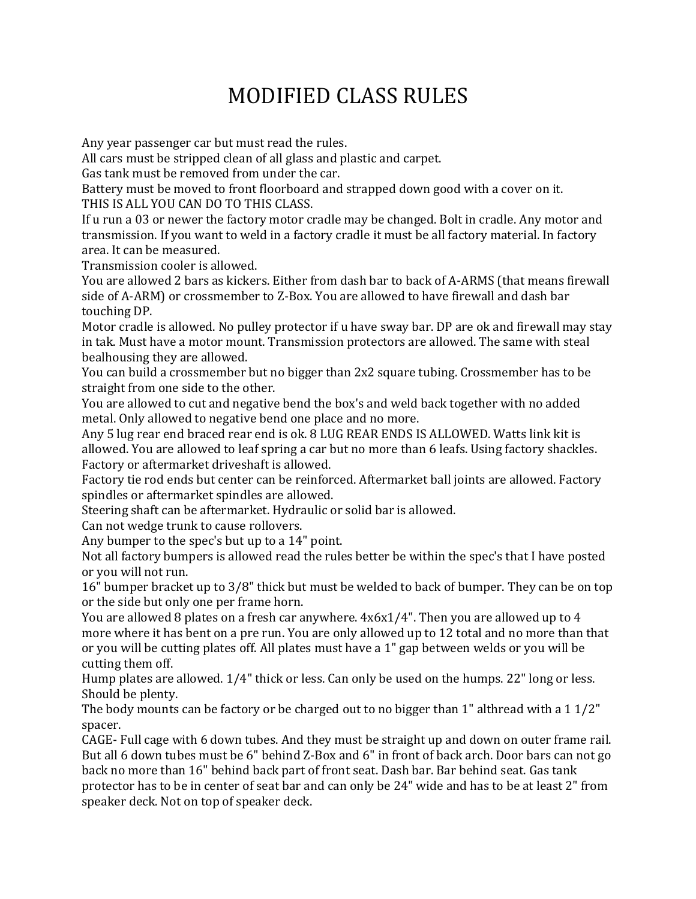## MODIFIED CLASS RULES

Any year passenger car but must read the rules.

All cars must be stripped clean of all glass and plastic and carpet.

Gas tank must be removed from under the car.

Battery must be moved to front floorboard and strapped down good with a cover on it. THIS IS ALL YOU CAN DO TO THIS CLASS.

If u run a 03 or newer the factory motor cradle may be changed. Bolt in cradle. Any motor and transmission. If you want to weld in a factory cradle it must be all factory material. In factory area. It can be measured.

Transmission cooler is allowed.

You are allowed 2 bars as kickers. Either from dash bar to back of A-ARMS (that means firewall side of A-ARM) or crossmember to Z-Box. You are allowed to have firewall and dash bar touching DP.

Motor cradle is allowed. No pulley protector if u have sway bar. DP are ok and firewall may stay in tak. Must have a motor mount. Transmission protectors are allowed. The same with steal bealhousing they are allowed.

You can build a crossmember but no bigger than 2x2 square tubing. Crossmember has to be straight from one side to the other.

You are allowed to cut and negative bend the box's and weld back together with no added metal. Only allowed to negative bend one place and no more.

Any 5 lug rear end braced rear end is ok. 8 LUG REAR ENDS IS ALLOWED. Watts link kit is allowed. You are allowed to leaf spring a car but no more than 6 leafs. Using factory shackles. Factory or aftermarket driveshaft is allowed.

Factory tie rod ends but center can be reinforced. Aftermarket ball joints are allowed. Factory spindles or aftermarket spindles are allowed.

Steering shaft can be aftermarket. Hydraulic or solid bar is allowed.

Can not wedge trunk to cause rollovers.

Any bumper to the spec's but up to a 14" point.

Not all factory bumpers is allowed read the rules better be within the spec's that I have posted or you will not run.

16" bumper bracket up to 3/8" thick but must be welded to back of bumper. They can be on top or the side but only one per frame horn.

You are allowed 8 plates on a fresh car anywhere. 4x6x1/4". Then you are allowed up to 4 more where it has bent on a pre run. You are only allowed up to 12 total and no more than that or you will be cutting plates off. All plates must have a 1" gap between welds or you will be cutting them off.

Hump plates are allowed. 1/4" thick or less. Can only be used on the humps. 22" long or less. Should be plenty.

The body mounts can be factory or be charged out to no bigger than 1" althread with a 1 1/2" spacer.

CAGE- Full cage with 6 down tubes. And they must be straight up and down on outer frame rail. But all 6 down tubes must be 6" behind Z-Box and 6" in front of back arch. Door bars can not go back no more than 16" behind back part of front seat. Dash bar. Bar behind seat. Gas tank protector has to be in center of seat bar and can only be 24" wide and has to be at least 2" from speaker deck. Not on top of speaker deck.